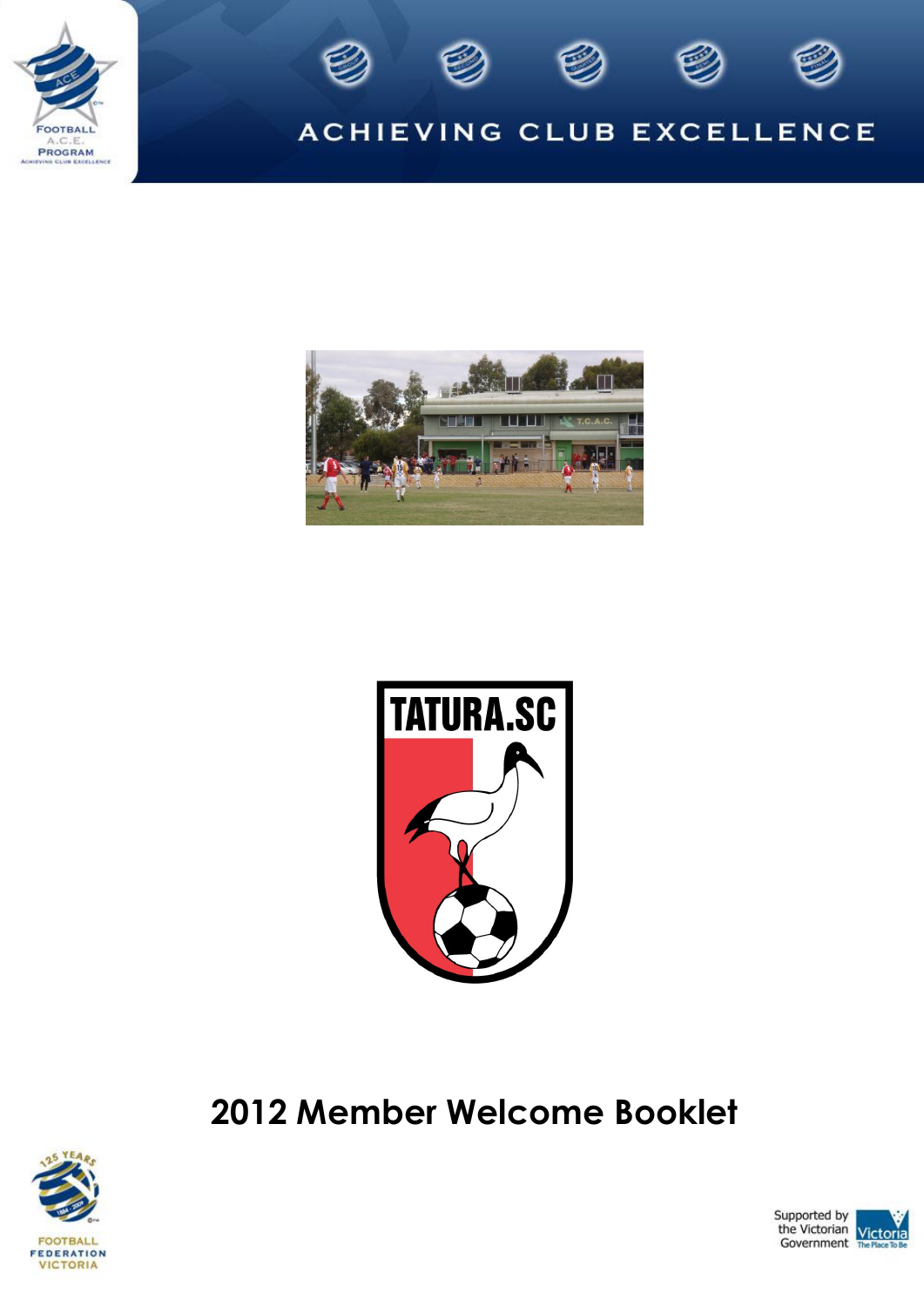





## ACHIEVING CLUB EXCELLENCE





# **2012 Member Welcome Booklet**



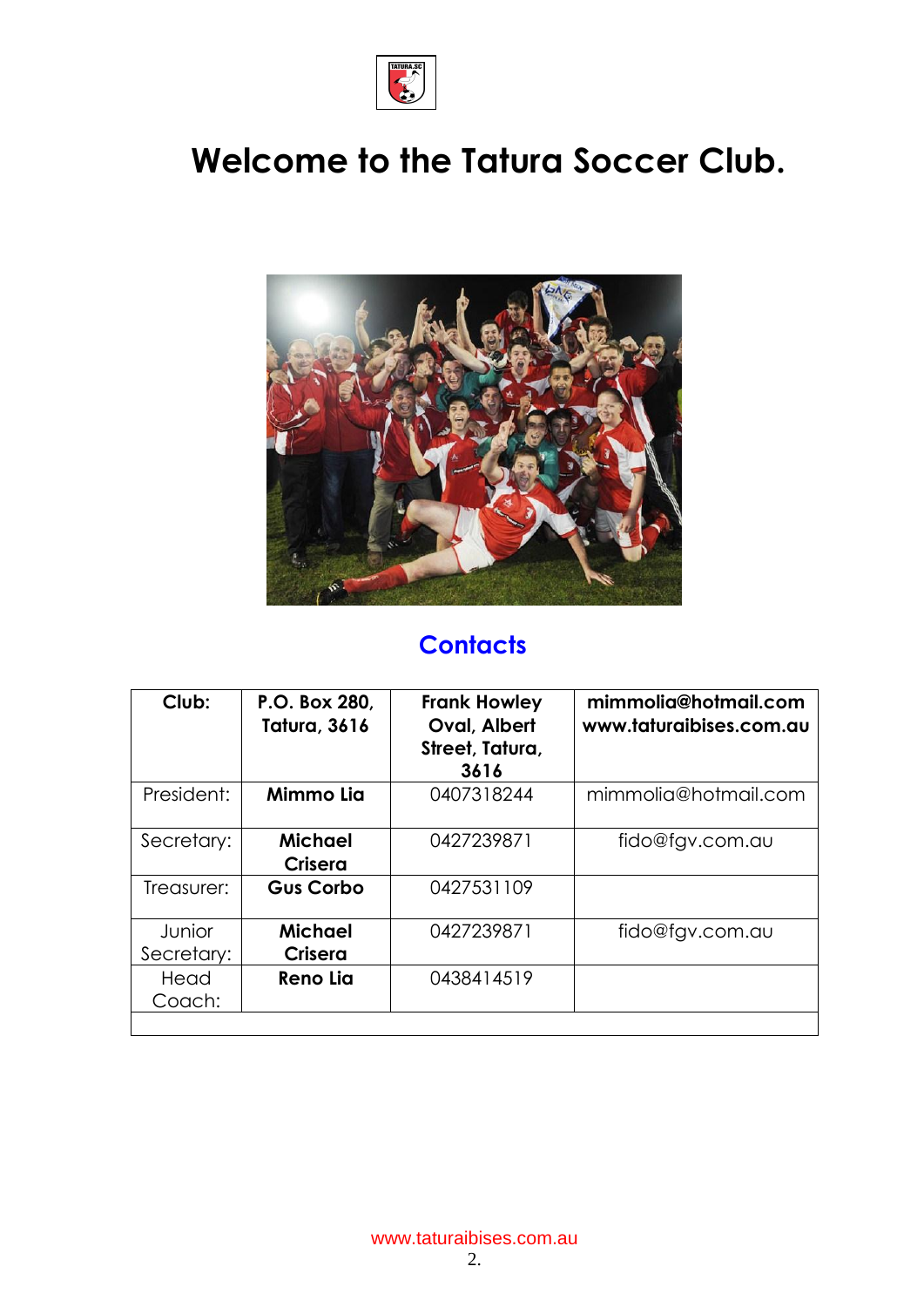

# **Welcome to the Tatura Soccer Club.**



# **Contacts**

| Club:                | P.O. Box 280,<br><b>Tatura, 3616</b> | <b>Frank Howley</b><br>Oval, Albert<br>Street, Tatura,<br>3616 | mimmolia@hotmail.com<br>www.taturaibises.com.au |
|----------------------|--------------------------------------|----------------------------------------------------------------|-------------------------------------------------|
| President:           | Mimmo Lia                            | 0407318244                                                     | mimmolia@hotmail.com                            |
| Secretary:           | Michael<br>Crisera                   | 0427239871                                                     | fido@fgv.com.au                                 |
| Treasurer:           | <b>Gus Corbo</b>                     | 0427531109                                                     |                                                 |
| Junior<br>Secretary: | Michael<br>Crisera                   | 0427239871                                                     | fido@fgv.com.au                                 |
| Head<br>Coach:       | <b>Reno Lia</b>                      | 0438414519                                                     |                                                 |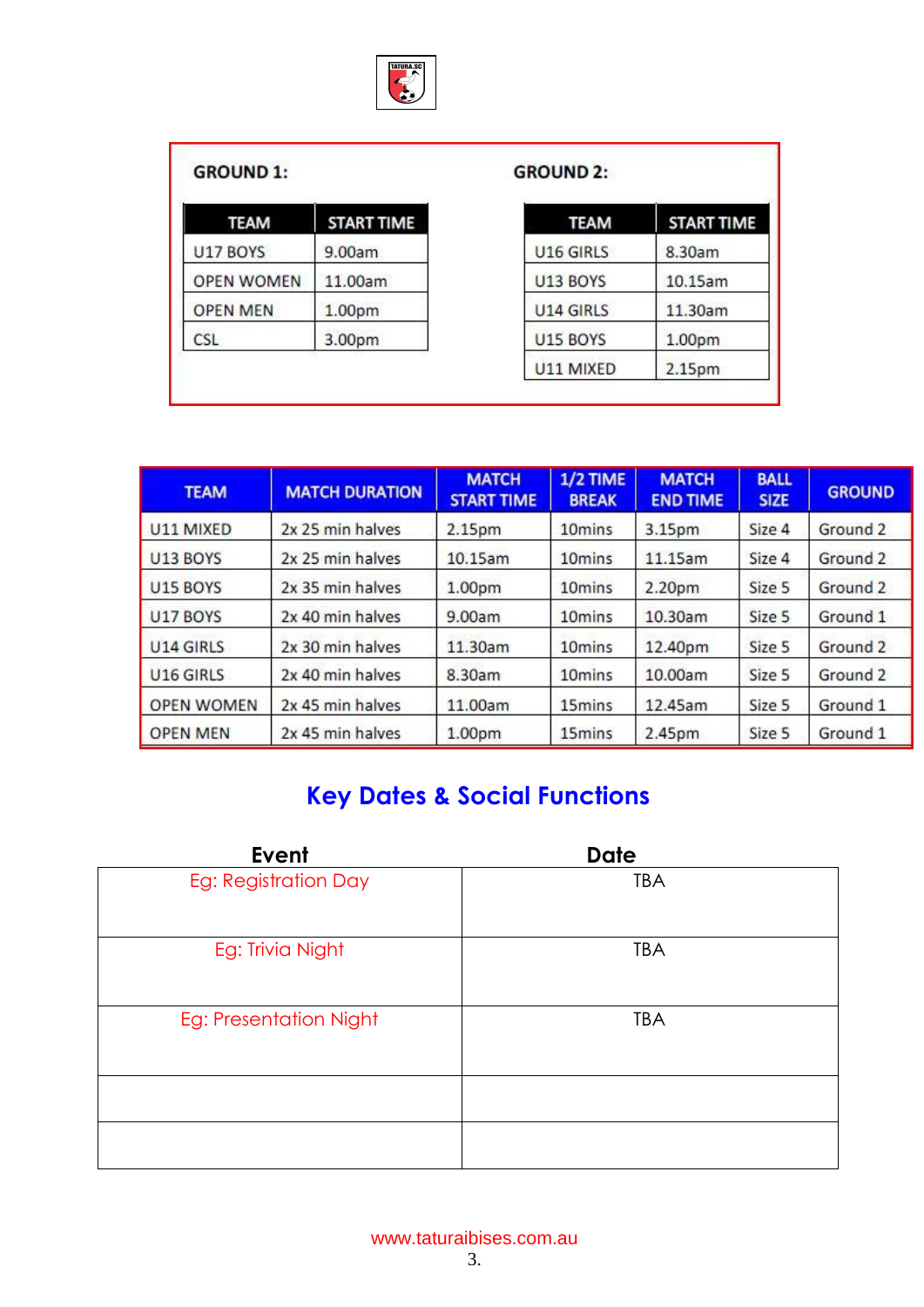

#### **GROUND 1:**

| <b>TEAM</b>       | <b>START TIME</b> |
|-------------------|-------------------|
| U17 BOYS          | 9.00am            |
| <b>OPEN WOMEN</b> | 11.00am           |
| <b>OPEN MEN</b>   | 1.00pm            |
| CSL               | 3.00pm            |

#### **GROUND 2:**

| <b>TEAM</b> | <b>START TIME</b> |
|-------------|-------------------|
| U16 GIRLS   | 8.30am            |
| U13 BOYS    | 10.15am           |
| U14 GIRLS   | 11.30am           |
| U15 BOYS    | 1.00pm            |
| U11 MIXED   | 2.15pm            |

| <b>TEAM</b>       | <b>MATCH DURATION</b> | <b>MATCH</b><br><b>START TIME</b> | 1/2 TIME<br><b>BREAK</b> | <b>MATCH</b><br><b>END TIME</b> | <b>BALL</b><br><b>SIZE</b> | <b>GROUND</b> |
|-------------------|-----------------------|-----------------------------------|--------------------------|---------------------------------|----------------------------|---------------|
| U11 MIXED         | 2x 25 min halves      | 2.15pm                            | 10 <sub>mins</sub>       | 3.15pm                          | Size 4                     | Ground 2      |
| U13 BOYS          | 2x 25 min halves      | 10.15am                           | 10 <sub>mins</sub>       | 11.15am                         | Size 4                     | Ground 2      |
| <b>U15 BOYS</b>   | 2x 35 min halves      | 1.00 <sub>pm</sub>                | 10 <sub>mins</sub>       | 2.20pm                          | Size 5                     | Ground 2      |
| <b>U17 BOYS</b>   | 2x 40 min halves      | 9.00am                            | 10 <sub>mins</sub>       | 10.30am                         | Size 5                     | Ground 1      |
| U14 GIRLS         | 2x 30 min halves      | 11.30am                           | 10 <sub>mins</sub>       | 12.40pm                         | Size 5                     | Ground 2      |
| U16 GIRLS         | 2x 40 min halves      | 8.30am                            | 10 <sub>mins</sub>       | 10.00am                         | Size 5                     | Ground 2      |
| <b>OPEN WOMEN</b> | 2x 45 min halves      | 11.00am                           | 15mins                   | 12.45am                         | Size 5                     | Ground 1      |
| <b>OPEN MEN</b>   | 2x 45 min halves      | 1.00 <sub>pm</sub>                | 15mins                   | 2.45pm                          | Size 5                     | Ground 1      |

## **Key Dates & Social Functions**

| Event                  | <b>Date</b> |
|------------------------|-------------|
| Eg: Registration Day   | <b>TBA</b>  |
| Eg: Trivia Night       | <b>TBA</b>  |
| Eg: Presentation Night | <b>TBA</b>  |
|                        |             |
|                        |             |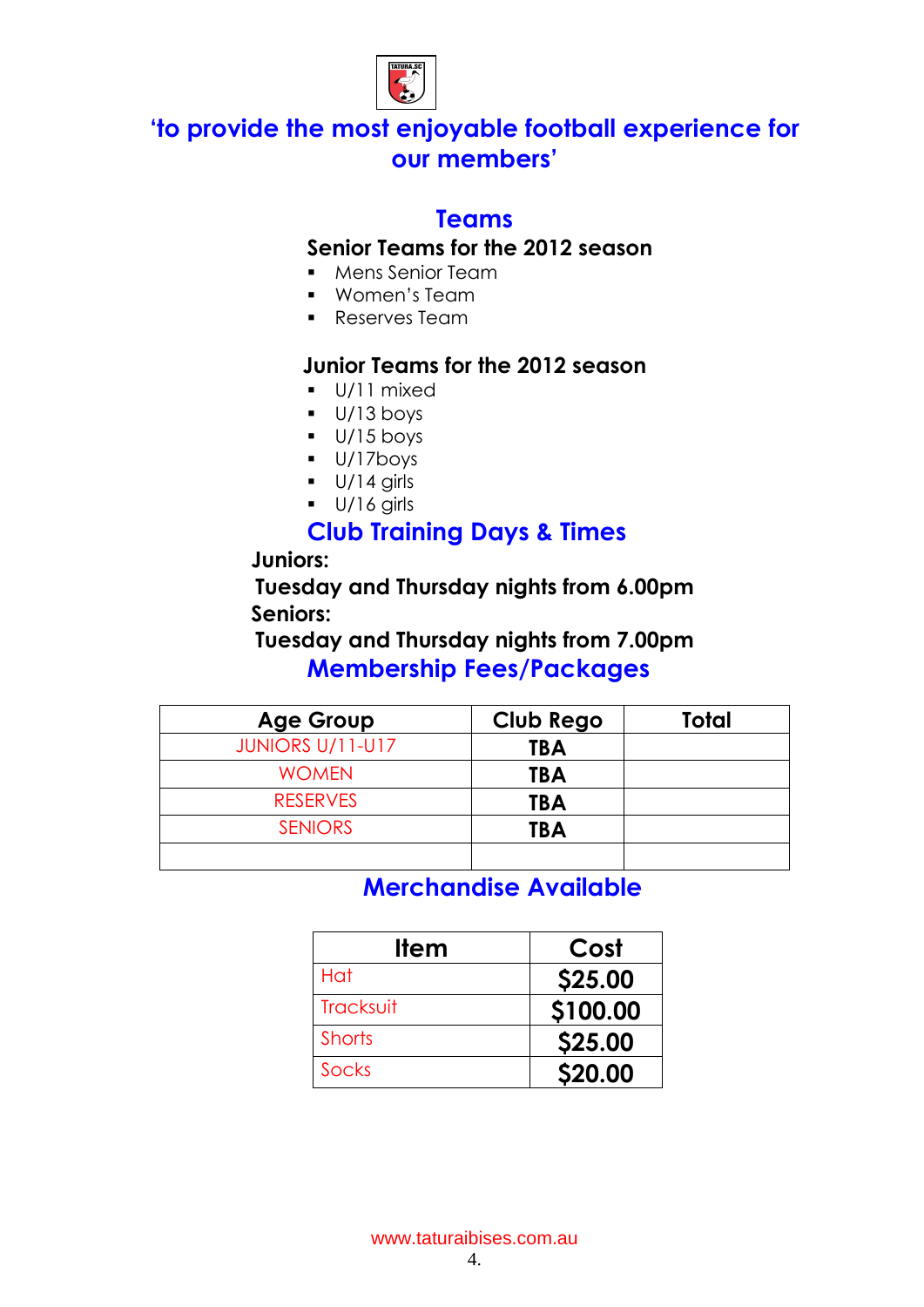

### **'to provide the most enjoyable football experience for our members'**

#### **Teams**

#### **Senior Teams for the 2012 season**

- **Mens Senior Team**
- Women's Team
- **Reserves Team**

#### **Junior Teams for the 2012 season**

- U/11 mixed
- $U/13$  boys
- $\bullet$  U/15 boys
- U/17boys
- $U/14$  girls
- $U/16$  girls

### **Club Training Days & Times**

#### **Juniors:**

**Tuesday and Thursday nights from 6.00pm Seniors:**

**Tuesday and Thursday nights from 7.00pm Membership Fees/Packages**

| <b>Age Group</b>        | <b>Club Rego</b> | Total |
|-------------------------|------------------|-------|
| <b>JUNIORS U/11-U17</b> | <b>TBA</b>       |       |
| <b>WOMEN</b>            | <b>TBA</b>       |       |
| <b>RESERVES</b>         | <b>TBA</b>       |       |
| <b>SENIORS</b>          | <b>TBA</b>       |       |
|                         |                  |       |

**Merchandise Available**

| <u>Item</u>   | Cost     |
|---------------|----------|
| Hat           | \$25.00  |
| Tracksuit     | \$100.00 |
| <b>Shorts</b> | \$25.00  |
| <b>Socks</b>  | \$20.00  |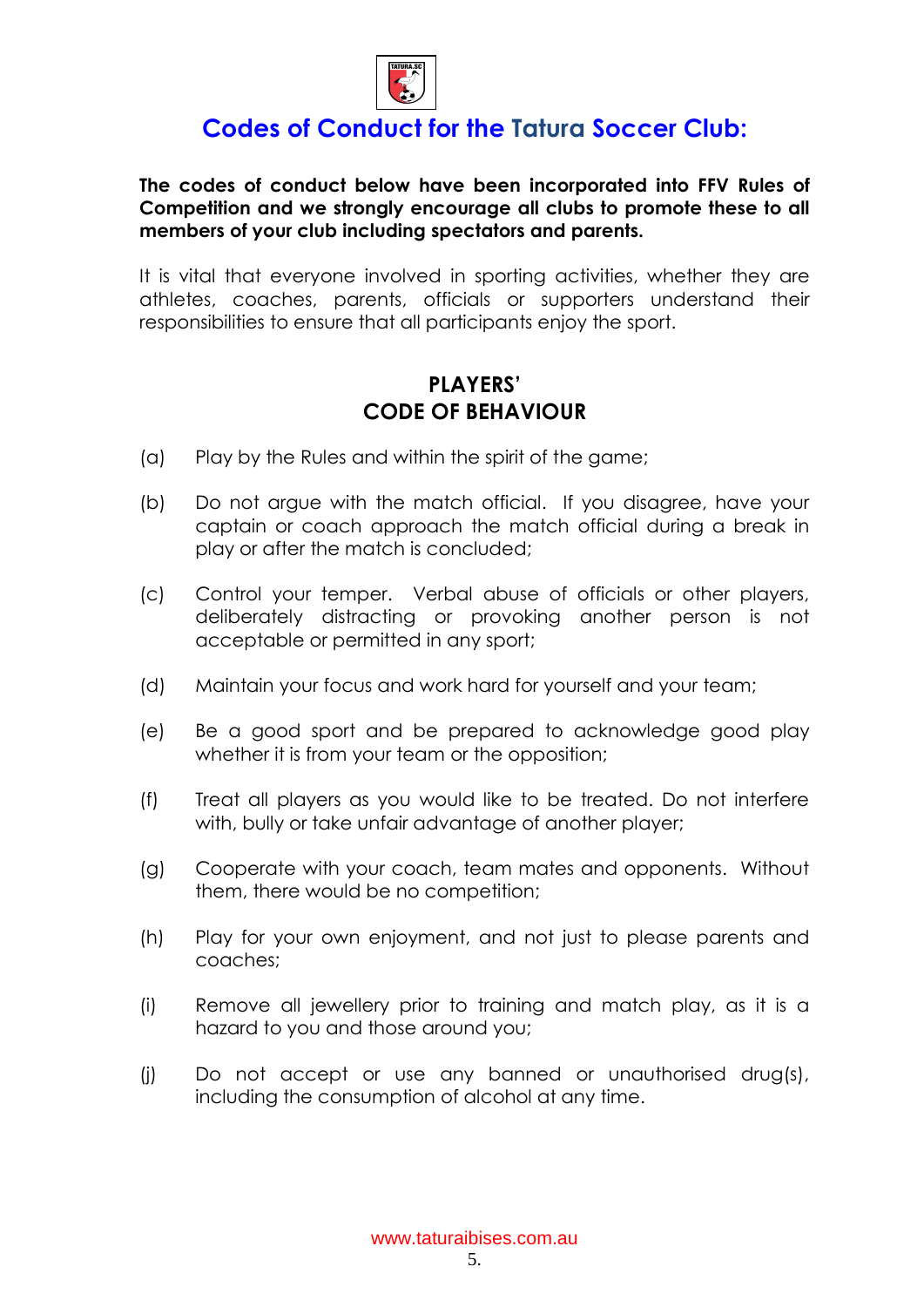

### **Codes of Conduct for the Tatura Soccer Club:**

#### **The codes of conduct below have been incorporated into FFV Rules of Competition and we strongly encourage all clubs to promote these to all members of your club including spectators and parents.**

It is vital that everyone involved in sporting activities, whether they are athletes, coaches, parents, officials or supporters understand their responsibilities to ensure that all participants enjoy the sport.

#### **PLAYERS' CODE OF BEHAVIOUR**

- (a) Play by the Rules and within the spirit of the game;
- (b) Do not argue with the match official. If you disagree, have your captain or coach approach the match official during a break in play or after the match is concluded;
- (c) Control your temper. Verbal abuse of officials or other players, deliberately distracting or provoking another person is not acceptable or permitted in any sport;
- (d) Maintain your focus and work hard for yourself and your team;
- (e) Be a good sport and be prepared to acknowledge good play whether it is from your team or the opposition;
- (f) Treat all players as you would like to be treated. Do not interfere with, bully or take unfair advantage of another player;
- (g) Cooperate with your coach, team mates and opponents. Without them, there would be no competition;
- (h) Play for your own enjoyment, and not just to please parents and coaches;
- (i) Remove all jewellery prior to training and match play, as it is a hazard to you and those around you;
- (j) Do not accept or use any banned or unauthorised drug(s), including the consumption of alcohol at any time.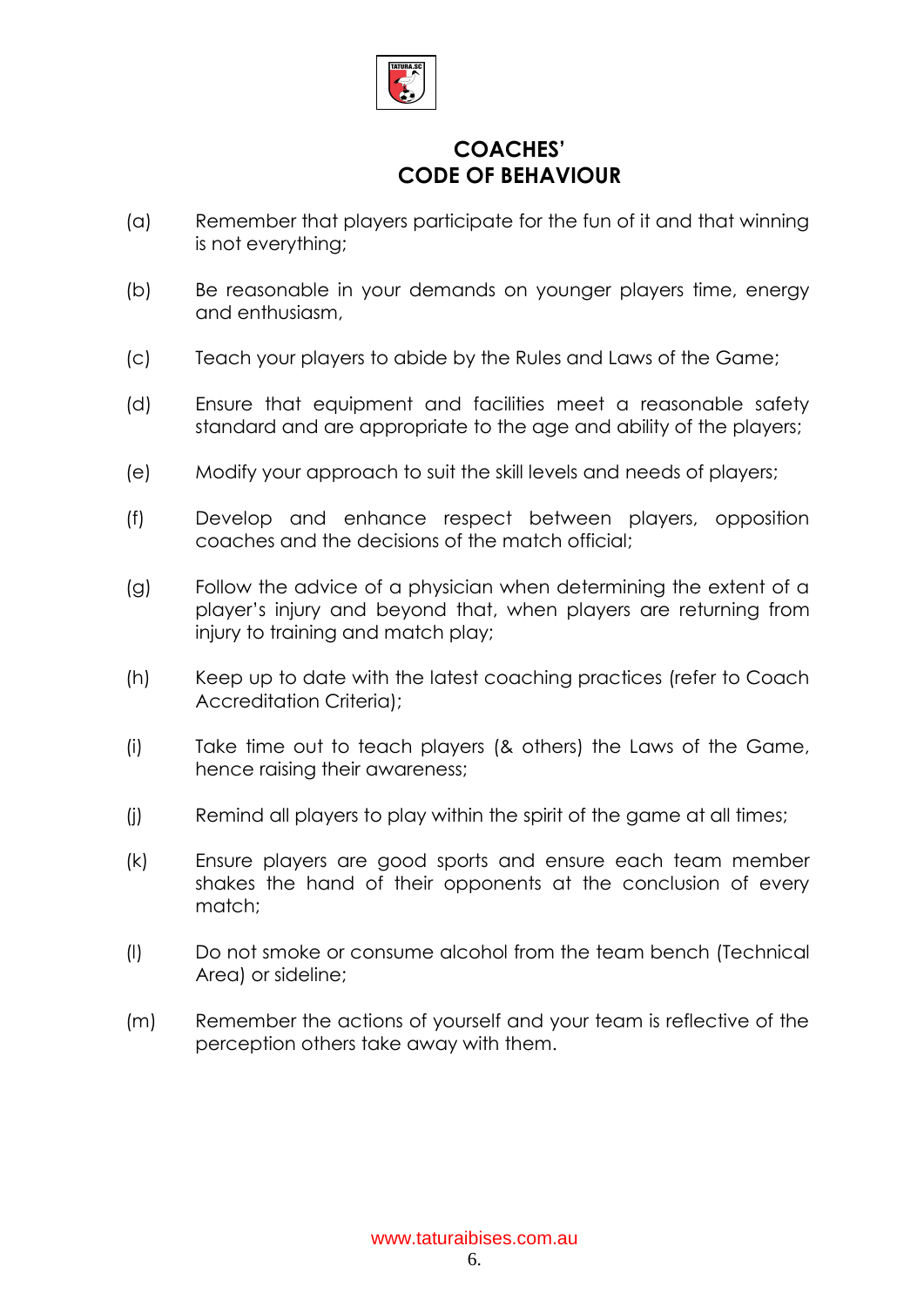

#### **COACHES' CODE OF BEHAVIOUR**

- (a) Remember that players participate for the fun of it and that winning is not everything;
- (b) Be reasonable in your demands on younger players time, energy and enthusiasm,
- (c) Teach your players to abide by the Rules and Laws of the Game;
- (d) Ensure that equipment and facilities meet a reasonable safety standard and are appropriate to the age and ability of the players;
- (e) Modify your approach to suit the skill levels and needs of players;
- (f) Develop and enhance respect between players, opposition coaches and the decisions of the match official;
- (g) Follow the advice of a physician when determining the extent of a player's injury and beyond that, when players are returning from injury to training and match play;
- (h) Keep up to date with the latest coaching practices (refer to Coach Accreditation Criteria);
- (i) Take time out to teach players (& others) the Laws of the Game, hence raising their awareness;
- (j) Remind all players to play within the spirit of the game at all times;
- (k) Ensure players are good sports and ensure each team member shakes the hand of their opponents at the conclusion of every match;
- (l) Do not smoke or consume alcohol from the team bench (Technical Area) or sideline;
- (m) Remember the actions of yourself and your team is reflective of the perception others take away with them.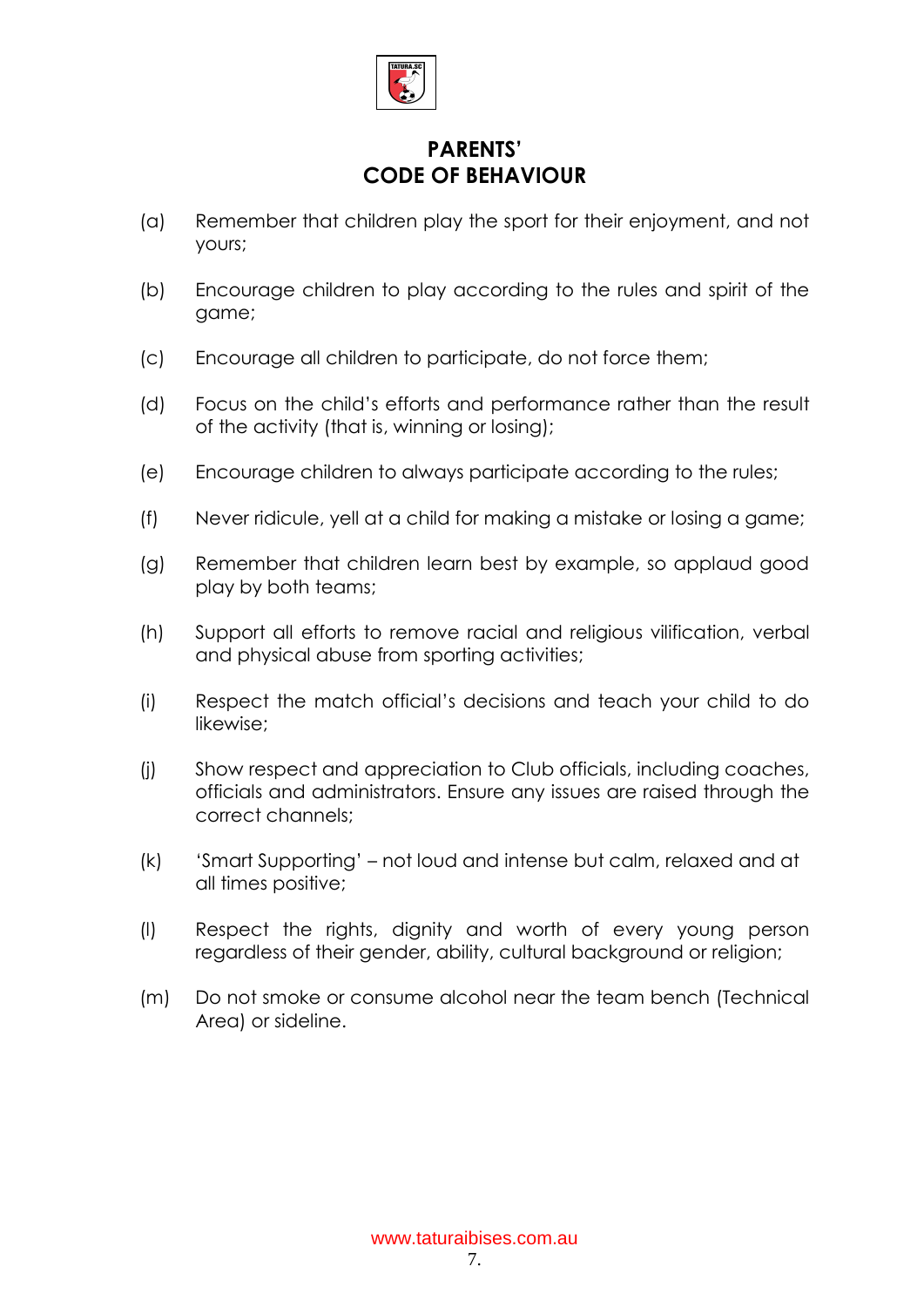

#### **PARENTS' CODE OF BEHAVIOUR**

- (a) Remember that children play the sport for their enjoyment, and not yours;
- (b) Encourage children to play according to the rules and spirit of the game;
- (c) Encourage all children to participate, do not force them;
- (d) Focus on the child's efforts and performance rather than the result of the activity (that is, winning or losing);
- (e) Encourage children to always participate according to the rules;
- (f) Never ridicule, yell at a child for making a mistake or losing a game;
- (g) Remember that children learn best by example, so applaud good play by both teams;
- (h) Support all efforts to remove racial and religious vilification, verbal and physical abuse from sporting activities;
- (i) Respect the match official's decisions and teach your child to do likewise;
- (j) Show respect and appreciation to Club officials, including coaches, officials and administrators. Ensure any issues are raised through the correct channels;
- (k) 'Smart Supporting' not loud and intense but calm, relaxed and at all times positive;
- (l) Respect the rights, dignity and worth of every young person regardless of their gender, ability, cultural background or religion;
- (m) Do not smoke or consume alcohol near the team bench (Technical Area) or sideline.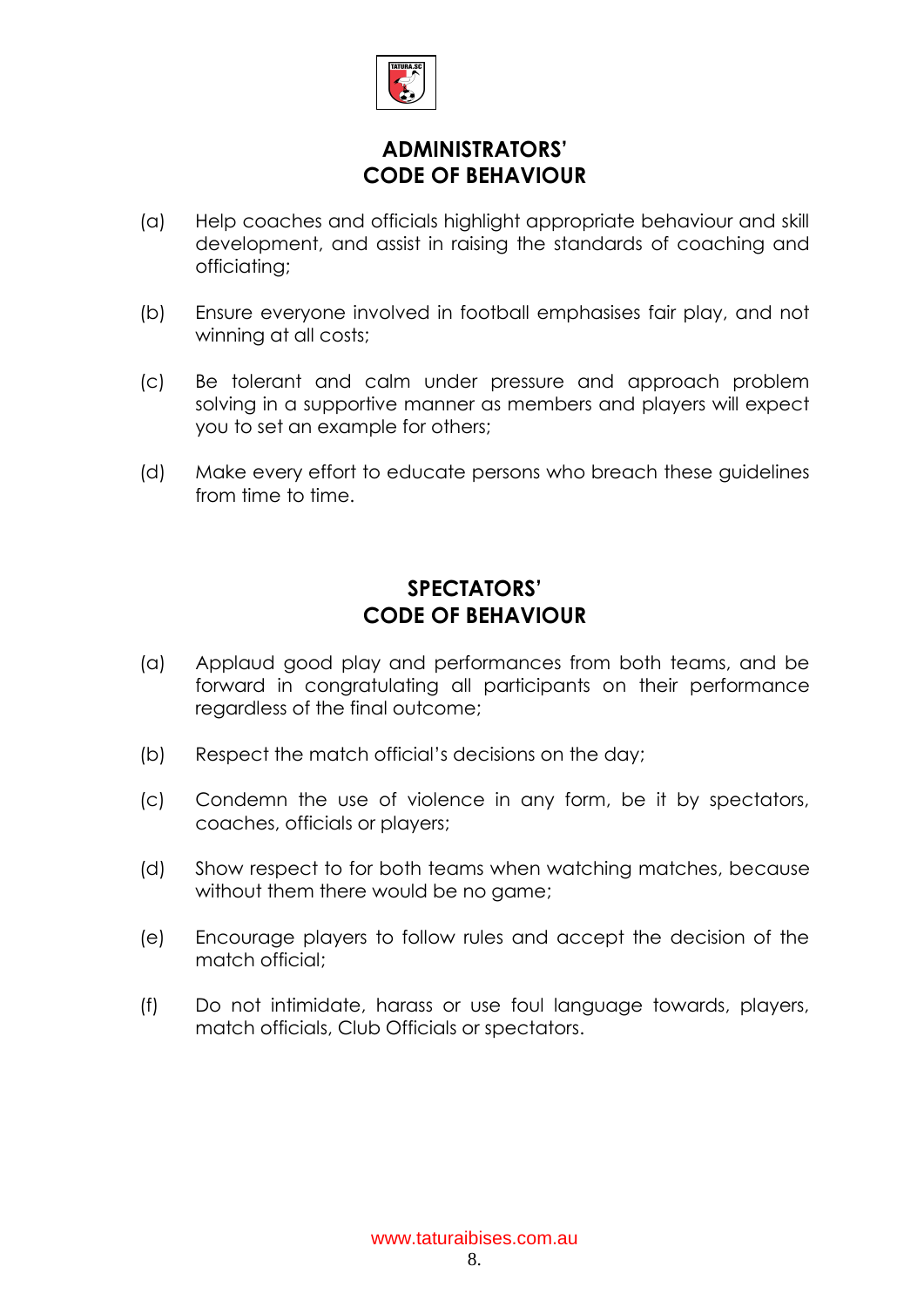

#### **ADMINISTRATORS' CODE OF BEHAVIOUR**

- (a) Help coaches and officials highlight appropriate behaviour and skill development, and assist in raising the standards of coaching and officiating;
- (b) Ensure everyone involved in football emphasises fair play, and not winning at all costs;
- (c) Be tolerant and calm under pressure and approach problem solving in a supportive manner as members and players will expect you to set an example for others;
- (d) Make every effort to educate persons who breach these guidelines from time to time.

#### **SPECTATORS' CODE OF BEHAVIOUR**

- (a) Applaud good play and performances from both teams, and be forward in congratulating all participants on their performance regardless of the final outcome;
- (b) Respect the match official's decisions on the day;
- (c) Condemn the use of violence in any form, be it by spectators, coaches, officials or players;
- (d) Show respect to for both teams when watching matches, because without them there would be no game;
- (e) Encourage players to follow rules and accept the decision of the match official;
- (f) Do not intimidate, harass or use foul language towards, players, match officials, Club Officials or spectators.